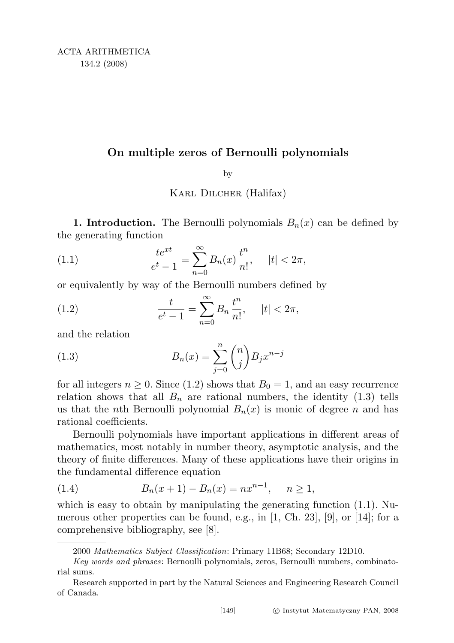## On multiple zeros of Bernoulli polynomials

## by

Karl Dilcher (Halifax)

**1. Introduction.** The Bernoulli polynomials  $B_n(x)$  can be defined by the generating function

(1.1) 
$$
\frac{te^{xt}}{e^t - 1} = \sum_{n=0}^{\infty} B_n(x) \frac{t^n}{n!}, \quad |t| < 2\pi,
$$

or equivalently by way of the Bernoulli numbers defined by

(1.2) 
$$
\frac{t}{e^t - 1} = \sum_{n=0}^{\infty} B_n \frac{t^n}{n!}, \quad |t| < 2\pi,
$$

and the relation

(1.3) 
$$
B_n(x) = \sum_{j=0}^n \binom{n}{j} B_j x^{n-j}
$$

for all integers  $n \geq 0$ . Since (1.2) shows that  $B_0 = 1$ , and an easy recurrence relation shows that all  $B_n$  are rational numbers, the identity (1.3) tells us that the *n*th Bernoulli polynomial  $B_n(x)$  is monic of degree *n* and has rational coefficients.

Bernoulli polynomials have important applications in different areas of mathematics, most notably in number theory, asymptotic analysis, and the theory of finite differences. Many of these applications have their origins in the fundamental difference equation

(1.4) 
$$
B_n(x+1) - B_n(x) = nx^{n-1}, \quad n \ge 1,
$$

which is easy to obtain by manipulating the generating function (1.1). Numerous other properties can be found, e.g., in  $[1, Ch. 23], [9]$ , or  $[14]$ ; for a comprehensive bibliography, see [8].

<sup>2000</sup> Mathematics Subject Classification: Primary 11B68; Secondary 12D10.

Key words and phrases: Bernoulli polynomials, zeros, Bernoulli numbers, combinatorial sums.

Research supported in part by the Natural Sciences and Engineering Research Council of Canada.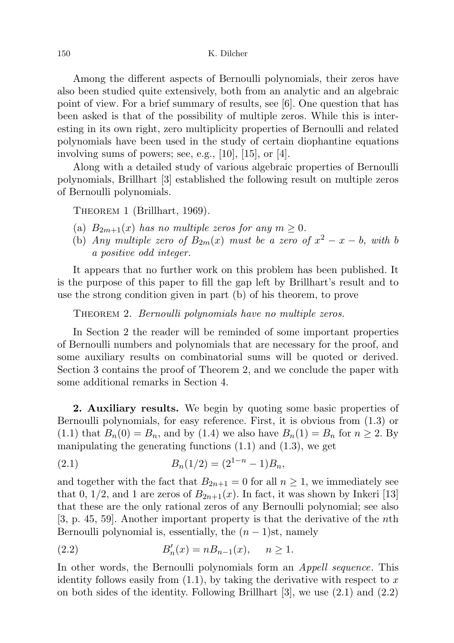Among the different aspects of Bernoulli polynomials, their zeros have also been studied quite extensively, both from an analytic and an algebraic point of view. For a brief summary of results, see [6]. One question that has been asked is that of the possibility of multiple zeros. While this is interesting in its own right, zero multiplicity properties of Bernoulli and related polynomials have been used in the study of certain diophantine equations involving sums of powers; see, e.g., [10], [15], or [4].

Along with a detailed study of various algebraic properties of Bernoulli polynomials, Brillhart [3] established the following result on multiple zeros of Bernoulli polynomials.

THEOREM 1 (Brillhart, 1969).

- (a)  $B_{2m+1}(x)$  has no multiple zeros for any  $m \geq 0$ .
- (b) Any multiple zero of  $B_{2m}(x)$  must be a zero of  $x^2 x b$ , with b a positive odd integer.

It appears that no further work on this problem has been published. It is the purpose of this paper to fill the gap left by Brillhart's result and to use the strong condition given in part (b) of his theorem, to prove

THEOREM 2. Bernoulli polynomials have no multiple zeros.

In Section 2 the reader will be reminded of some important properties of Bernoulli numbers and polynomials that are necessary for the proof, and some auxiliary results on combinatorial sums will be quoted or derived. Section 3 contains the proof of Theorem 2, and we conclude the paper with some additional remarks in Section 4.

2. Auxiliary results. We begin by quoting some basic properties of Bernoulli polynomials, for easy reference. First, it is obvious from (1.3) or (1.1) that  $B_n(0) = B_n$ , and by (1.4) we also have  $B_n(1) = B_n$  for  $n \geq 2$ . By manipulating the generating functions  $(1.1)$  and  $(1.3)$ , we get

(2.1) 
$$
B_n(1/2) = (2^{1-n} - 1)B_n,
$$

and together with the fact that  $B_{2n+1} = 0$  for all  $n \ge 1$ , we immediately see that 0, 1/2, and 1 are zeros of  $B_{2n+1}(x)$ . In fact, it was shown by Inkeri [13] that these are the only rational zeros of any Bernoulli polynomial; see also [3, p. 45, 59]. Another important property is that the derivative of the nth Bernoulli polynomial is, essentially, the  $(n-1)$ st, namely

(2.2) 
$$
B'_n(x) = nB_{n-1}(x), \quad n \ge 1.
$$

In other words, the Bernoulli polynomials form an *Appell sequence*. This identity follows easily from  $(1.1)$ , by taking the derivative with respect to x on both sides of the identity. Following Brillhart [3], we use (2.1) and (2.2)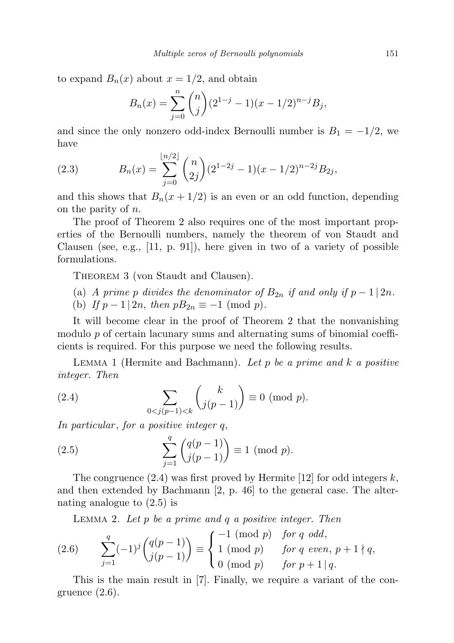to expand  $B_n(x)$  about  $x = 1/2$ , and obtain

$$
B_n(x) = \sum_{j=0}^n \binom{n}{j} (2^{1-j} - 1)(x - 1/2)^{n-j} B_j,
$$

and since the only nonzero odd-index Bernoulli number is  $B_1 = -1/2$ , we have

(2.3) 
$$
B_n(x) = \sum_{j=0}^{\lfloor n/2 \rfloor} {n \choose 2j} (2^{1-2j} - 1)(x - 1/2)^{n-2j} B_{2j},
$$

and this shows that  $B_n(x + 1/2)$  is an even or an odd function, depending on the parity of n.

The proof of Theorem 2 also requires one of the most important properties of the Bernoulli numbers, namely the theorem of von Staudt and Clausen (see, e.g.,  $[11, p. 91]$ ), here given in two of a variety of possible formulations.

THEOREM 3 (von Staudt and Clausen).

- (a) A prime p divides the denominator of  $B_{2n}$  if and only if  $p-1 \mid 2n$ .
- (b) If  $p-1 \mid 2n$ , then  $pB_{2n} \equiv -1 \pmod{p}$ .

It will become clear in the proof of Theorem 2 that the nonvanishing modulo  $p$  of certain lacunary sums and alternating sums of binomial coefficients is required. For this purpose we need the following results.

LEMMA 1 (Hermite and Bachmann). Let p be a prime and  $k$  a positive integer. Then

(2.4) 
$$
\sum_{0 < j(p-1) < k} {k \choose j(p-1)} \equiv 0 \pmod{p}.
$$

In particular, for a positive integer  $q$ ,

(2.5) 
$$
\sum_{j=1}^{q} {q(p-1) \choose j(p-1)} \equiv 1 \pmod{p}.
$$

The congruence  $(2.4)$  was first proved by Hermite [12] for odd integers k, and then extended by Bachmann [2, p. 46] to the general case. The alternating analogue to (2.5) is

LEMMA 2. Let  $p$  be a prime and  $q$  a positive integer. Then

(2.6) 
$$
\sum_{j=1}^{q} (-1)^{j} {q(p-1) \choose j(p-1)} \equiv \begin{cases} -1 \pmod{p} & \text{for } q \text{ odd,} \\ 1 \pmod{p} & \text{for } q \text{ even, } p+1 \nmid q, \\ 0 \pmod{p} & \text{for } p+1 \mid q. \end{cases}
$$

This is the main result in [7]. Finally, we require a variant of the congruence (2.6).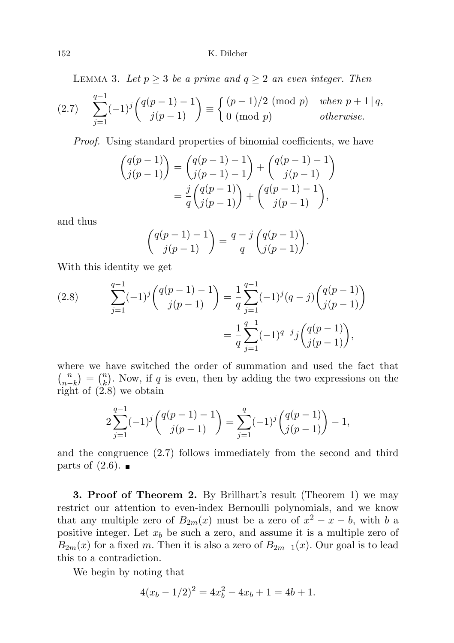LEMMA 3. Let  $p \geq 3$  be a prime and  $q \geq 2$  an even integer. Then

$$
(2.7) \quad \sum_{j=1}^{q-1} (-1)^j \binom{q(p-1)-1}{j(p-1)} \equiv \begin{cases} (p-1)/2 \pmod{p} & when \ p+1 \mid q, \\ 0 \pmod{p} & otherwise. \end{cases}
$$

Proof. Using standard properties of binomial coefficients, we have

$$
\begin{pmatrix} q(p-1) \\ j(p-1) \end{pmatrix} = \begin{pmatrix} q(p-1) - 1 \\ j(p-1) - 1 \end{pmatrix} + \begin{pmatrix} q(p-1) - 1 \\ j(p-1) \end{pmatrix}
$$

$$
= \frac{j}{q} \begin{pmatrix} q(p-1) \\ j(p-1) \end{pmatrix} + \begin{pmatrix} q(p-1) - 1 \\ j(p-1) \end{pmatrix},
$$

and thus

$$
\binom{q(p-1)-1}{j(p-1)} = \frac{q-j}{q} \binom{q(p-1)}{j(p-1)}.
$$

With this identity we get

(2.8) 
$$
\sum_{j=1}^{q-1} (-1)^j {q(p-1)-1 \choose j(p-1)} = \frac{1}{q} \sum_{j=1}^{q-1} (-1)^j (q-j) {q(p-1) \choose j(p-1)} = \frac{1}{q} \sum_{j=1}^{q-1} (-1)^{q-j} j {q(p-1) \choose j(p-1)},
$$

where we have switched the order of summation and used the fact that  $\binom{n}{n}$  $\binom{n}{n-k} = \binom{n}{k}$  $\binom{n}{k}$ . Now, if q is even, then by adding the two expressions on the right of (2.8) we obtain

$$
2\sum_{j=1}^{q-1}(-1)^j\binom{q(p-1)-1}{j(p-1)} = \sum_{j=1}^q(-1)^j\binom{q(p-1)}{j(p-1)} - 1,
$$

and the congruence (2.7) follows immediately from the second and third parts of  $(2.6)$ . ■

3. Proof of Theorem 2. By Brillhart's result (Theorem 1) we may restrict our attention to even-index Bernoulli polynomials, and we know that any multiple zero of  $B_{2m}(x)$  must be a zero of  $x^2 - x - b$ , with b a positive integer. Let  $x_b$  be such a zero, and assume it is a multiple zero of  $B_{2m}(x)$  for a fixed m. Then it is also a zero of  $B_{2m-1}(x)$ . Our goal is to lead this to a contradiction.

We begin by noting that

$$
4(xb - 1/2)2 = 4xb2 - 4xb + 1 = 4b + 1.
$$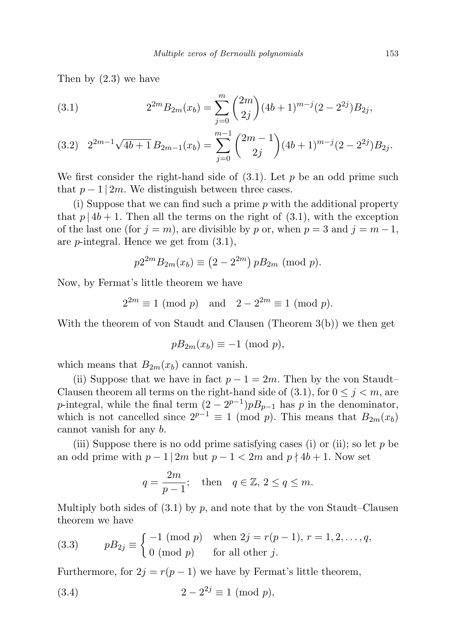Then by (2.3) we have

(3.1) 
$$
2^{2m} B_{2m}(x_b) = \sum_{j=0}^{m} {2m \choose 2j} (4b+1)^{m-j} (2-2^{2j}) B_{2j},
$$

$$
(3.2) \quad 2^{2m-1}\sqrt{4b+1}\,B_{2m-1}(x_b) = \sum_{j=0}^{m-1} \binom{2m-1}{2j} (4b+1)^{m-j} (2-2^{2j}) B_{2j}.
$$

We first consider the right-hand side of  $(3.1)$ . Let p be an odd prime such that  $p-1/2m$ . We distinguish between three cases.

(i) Suppose that we can find such a prime p with the additional property that  $p | 4b + 1$ . Then all the terms on the right of (3.1), with the exception of the last one (for  $j = m$ ), are divisible by p or, when  $p = 3$  and  $j = m - 1$ , are p-integral. Hence we get from (3.1),

$$
p2^{2m}B_{2m}(x_b) \equiv (2 - 2^{2m}) pB_{2m} \pmod{p}.
$$

Now, by Fermat's little theorem we have

$$
2^{2m} \equiv 1 \pmod{p} \quad \text{and} \quad 2 - 2^{2m} \equiv 1 \pmod{p}.
$$

With the theorem of von Staudt and Clausen (Theorem 3(b)) we then get

$$
pB_{2m}(x_b) \equiv -1 \pmod{p},
$$

which means that  $B_{2m}(x_b)$  cannot vanish.

(ii) Suppose that we have in fact  $p - 1 = 2m$ . Then by the von Staudt– Clausen theorem all terms on the right-hand side of  $(3.1)$ , for  $0 \le j \le m$ , are p-integral, while the final term  $(2 - 2^{p-1})pB_{p-1}$  has p in the denominator, which is not cancelled since  $2^{p-1} \equiv 1 \pmod{p}$ . This means that  $B_{2m}(x_b)$ cannot vanish for any b.

(iii) Suppose there is no odd prime satisfying cases (i) or (ii); so let  $p$  be an odd prime with  $p-1/2m$  but  $p-1 < 2m$  and  $p \nmid 4b+1$ . Now set

$$
q = \frac{2m}{p-1}; \quad \text{then} \quad q \in \mathbb{Z}, \, 2 \le q \le m.
$$

Multiply both sides of  $(3.1)$  by p, and note that by the von Staudt–Clausen theorem we have

(3.3) 
$$
pB_{2j} \equiv \begin{cases} -1 \pmod{p} & \text{when } 2j = r(p-1), r = 1, 2, ..., q, \\ 0 \pmod{p} & \text{for all other } j. \end{cases}
$$

Furthermore, for  $2j = r(p-1)$  we have by Fermat's little theorem,

(3.4) 
$$
2 - 2^{2j} \equiv 1 \pmod{p}
$$
,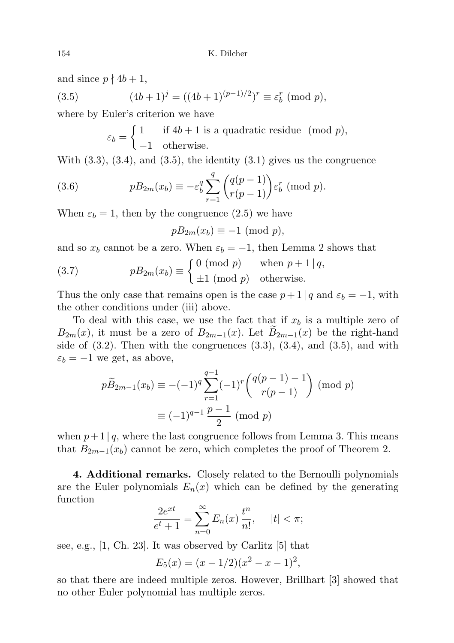and since  $p \nmid 4b + 1$ ,

(3.5) 
$$
(4b+1)^j = ((4b+1)^{(p-1)/2})^r \equiv \varepsilon_b^r \pmod{p},
$$

where by Euler's criterion we have

$$
\varepsilon_b = \begin{cases} 1 & \text{if } 4b + 1 \text{ is a quadratic residue } (mod p), \\ -1 & \text{otherwise.} \end{cases}
$$

With  $(3.3)$ ,  $(3.4)$ , and  $(3.5)$ , the identity  $(3.1)$  gives us the congruence

(3.6) 
$$
pB_{2m}(x_b) \equiv -\varepsilon_b^q \sum_{r=1}^q \binom{q(p-1)}{r(p-1)} \varepsilon_b^r \pmod{p}.
$$

When  $\varepsilon_b = 1$ , then by the congruence (2.5) we have

$$
pB_{2m}(x_b) \equiv -1 \pmod{p},
$$

and so  $x_b$  cannot be a zero. When  $\varepsilon_b = -1$ , then Lemma 2 shows that

(3.7) 
$$
pB_{2m}(x_b) \equiv \begin{cases} 0 \pmod{p} & \text{when } p+1 \mid q, \\ \pm 1 \pmod{p} & \text{otherwise.} \end{cases}
$$

Thus the only case that remains open is the case  $p + 1 \mid q$  and  $\varepsilon_b = -1$ , with the other conditions under (iii) above.

To deal with this case, we use the fact that if  $x_b$  is a multiple zero of  $B_{2m}(x)$ , it must be a zero of  $B_{2m-1}(x)$ . Let  $B_{2m-1}(x)$  be the right-hand side of  $(3.2)$ . Then with the congruences  $(3.3)$ ,  $(3.4)$ , and  $(3.5)$ , and with  $\varepsilon_b = -1$  we get, as above,

$$
p\widetilde{B}_{2m-1}(x_b) \equiv -(-1)^q \sum_{r=1}^{q-1} (-1)^r {q(p-1) - 1 \choose r(p-1)} \pmod{p}
$$

$$
\equiv (-1)^{q-1} \frac{p-1}{2} \pmod{p}
$$

when  $p+1 | q$ , where the last congruence follows from Lemma 3. This means that  $B_{2m-1}(x_b)$  cannot be zero, which completes the proof of Theorem 2.

4. Additional remarks. Closely related to the Bernoulli polynomials are the Euler polynomials  $E_n(x)$  which can be defined by the generating function

$$
\frac{2e^{xt}}{e^t + 1} = \sum_{n=0}^{\infty} E_n(x) \frac{t^n}{n!}, \quad |t| < \pi;
$$

see, e.g., [1, Ch. 23]. It was observed by Carlitz [5] that

$$
E_5(x) = (x - 1/2)(x^2 - x - 1)^2,
$$

so that there are indeed multiple zeros. However, Brillhart [3] showed that no other Euler polynomial has multiple zeros.